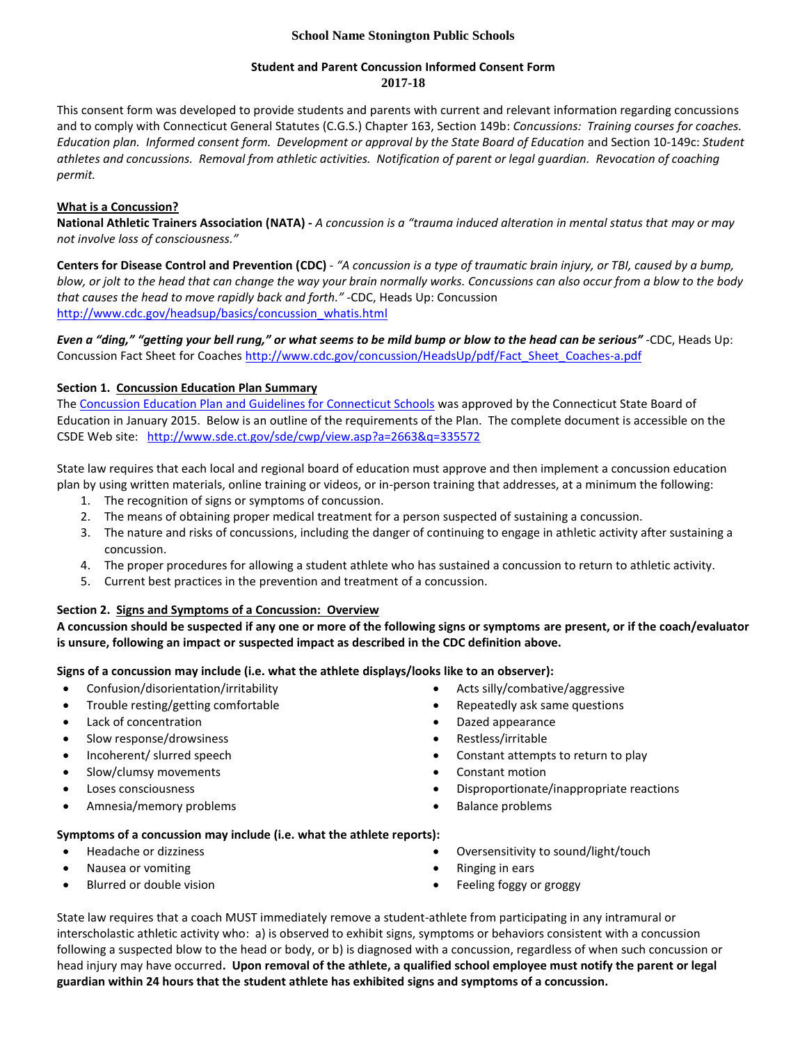## **School Name Stonington Public Schools**

#### **Student and Parent Concussion Informed Consent Form 2017-18**

This consent form was developed to provide students and parents with current and relevant information regarding concussions and to comply with Connecticut General Statutes (C.G.S.) Chapter 163, Section 149b: *Concussions: Training courses for coaches. Education plan. Informed consent form. Development or approval by the State Board of Education* and Section 10-149c: *Student athletes and concussions. Removal from athletic activities. Notification of parent or legal guardian. Revocation of coaching permit.*

# **What is a Concussion?**

**National Athletic Trainers Association (NATA) -** *A concussion is a "trauma induced alteration in mental status that may or may not involve loss of consciousness."*

**Centers for Disease Control and Prevention (CDC)** - *"A concussion is a type of traumatic brain injury, or TBI, caused by a bump, blow, or jolt to the head that can change the way your brain normally works. Concussions can also occur from a blow to the body that causes the head to move rapidly back and forth."* -CDC, Heads Up: Concussion [http://www.cdc.gov/headsup/basics/concussion\\_whatis.html](http://www.cdc.gov/headsup/basics/concussion_whatis.html)

*Even a "ding," "getting your bell rung," or what seems to be mild bump or blow to the head can be serious"* -CDC, Heads Up: Concussion Fact Sheet for Coaches http://www.cdc.gov/concussion/HeadsUp/pdf/Fact Sheet Coaches-a.pdf

# **Section 1. Concussion Education Plan Summary**

Th[e Concussion Education Plan and Guidelines for Connecticut Schools](http://www.sde.ct.gov/sde/cwp/view.asp?a=2663&q=335572) was approved by the Connecticut State Board of Education in January 2015. Below is an outline of the requirements of the Plan. The complete document is accessible on the CSDE Web site: <http://www.sde.ct.gov/sde/cwp/view.asp?a=2663&q=335572>

State law requires that each local and regional board of education must approve and then implement a concussion education plan by using written materials, online training or videos, or in-person training that addresses, at a minimum the following:

- 1. The recognition of signs or symptoms of concussion.
- 2. The means of obtaining proper medical treatment for a person suspected of sustaining a concussion.
- 3. The nature and risks of concussions, including the danger of continuing to engage in athletic activity after sustaining a concussion.
- 4. The proper procedures for allowing a student athlete who has sustained a concussion to return to athletic activity.
- 5. Current best practices in the prevention and treatment of a concussion.

## **Section 2. Signs and Symptoms of a Concussion: Overview**

**A concussion should be suspected if any one or more of the following signs or symptoms are present, or if the coach/evaluator is unsure, following an impact or suspected impact as described in the CDC definition above.**

**Signs of a concussion may include (i.e. what the athlete displays/looks like to an observer):**

- Confusion/disorientation/irritability
- Trouble resting/getting comfortable
- Lack of concentration
- Slow response/drowsiness
- Incoherent/ slurred speech
- Slow/clumsy movements
- Loses consciousness
- Amnesia/memory problems
- Acts silly/combative/aggressive
- Repeatedly ask same questions
- Dazed appearance
- Restless/irritable
- Constant attempts to return to play
- Constant motion
- Disproportionate/inappropriate reactions
- Balance problems

## **Symptoms of a concussion may include (i.e. what the athlete reports):**

- Headache or dizziness
- Nausea or vomiting
- Blurred or double vision
- Oversensitivity to sound/light/touch
- Ringing in ears
- Feeling foggy or groggy

State law requires that a coach MUST immediately remove a student-athlete from participating in any intramural or interscholastic athletic activity who: a) is observed to exhibit signs, symptoms or behaviors consistent with a concussion following a suspected blow to the head or body, or b) is diagnosed with a concussion, regardless of when such concussion or head injury may have occurred**. Upon removal of the athlete, a qualified school employee must notify the parent or legal guardian within 24 hours that the student athlete has exhibited signs and symptoms of a concussion.**